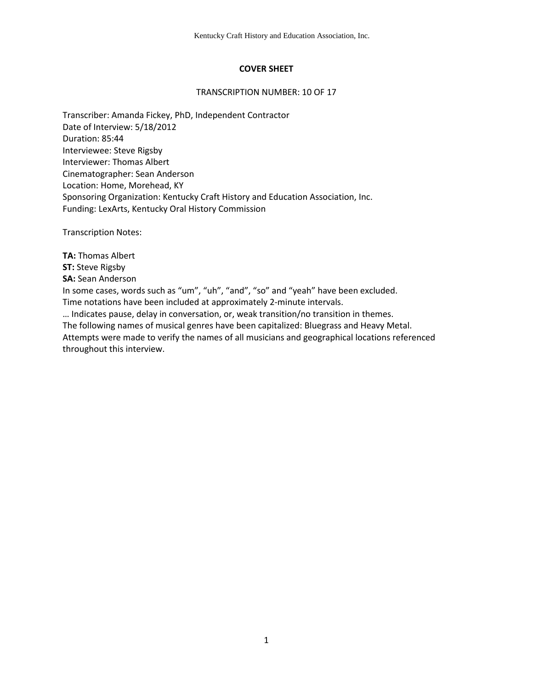## **COVER SHEET**

#### TRANSCRIPTION NUMBER: 10 OF 17

Transcriber: Amanda Fickey, PhD, Independent Contractor Date of Interview: 5/18/2012 Duration: 85:44 Interviewee: Steve Rigsby Interviewer: Thomas Albert Cinematographer: Sean Anderson Location: Home, Morehead, KY Sponsoring Organization: Kentucky Craft History and Education Association, Inc. Funding: LexArts, Kentucky Oral History Commission

Transcription Notes:

**TA:** Thomas Albert

**ST:** Steve Rigsby

**SA:** Sean Anderson

In some cases, words such as "um", "uh", "and", "so" and "yeah" have been excluded.

Time notations have been included at approximately 2-minute intervals.

… Indicates pause, delay in conversation, or, weak transition/no transition in themes. The following names of musical genres have been capitalized: Bluegrass and Heavy Metal. Attempts were made to verify the names of all musicians and geographical locations referenced throughout this interview.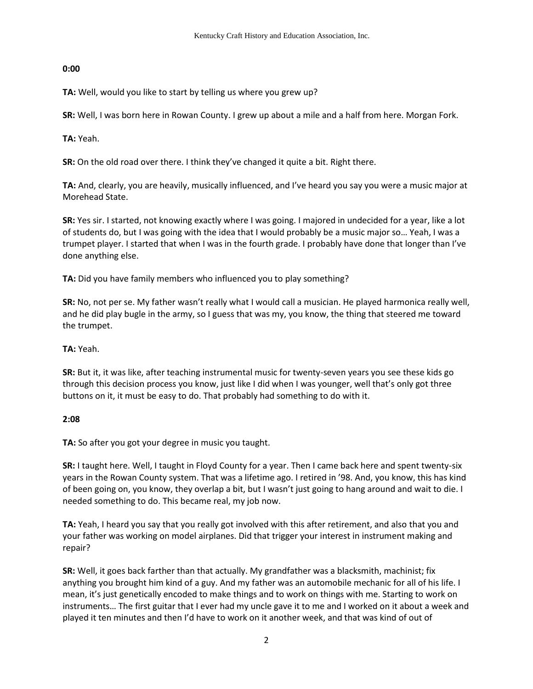### **0:00**

**TA:** Well, would you like to start by telling us where you grew up?

**SR:** Well, I was born here in Rowan County. I grew up about a mile and a half from here. Morgan Fork.

**TA:** Yeah.

**SR:** On the old road over there. I think they've changed it quite a bit. Right there.

**TA:** And, clearly, you are heavily, musically influenced, and I've heard you say you were a music major at Morehead State.

**SR:** Yes sir. I started, not knowing exactly where I was going. I majored in undecided for a year, like a lot of students do, but I was going with the idea that I would probably be a music major so… Yeah, I was a trumpet player. I started that when I was in the fourth grade. I probably have done that longer than I've done anything else.

**TA:** Did you have family members who influenced you to play something?

**SR:** No, not per se. My father wasn't really what I would call a musician. He played harmonica really well, and he did play bugle in the army, so I guess that was my, you know, the thing that steered me toward the trumpet.

### **TA:** Yeah.

**SR:** But it, it was like, after teaching instrumental music for twenty-seven years you see these kids go through this decision process you know, just like I did when I was younger, well that's only got three buttons on it, it must be easy to do. That probably had something to do with it.

# **2:08**

**TA:** So after you got your degree in music you taught.

**SR:** I taught here. Well, I taught in Floyd County for a year. Then I came back here and spent twenty-six years in the Rowan County system. That was a lifetime ago. I retired in '98. And, you know, this has kind of been going on, you know, they overlap a bit, but I wasn't just going to hang around and wait to die. I needed something to do. This became real, my job now.

**TA:** Yeah, I heard you say that you really got involved with this after retirement, and also that you and your father was working on model airplanes. Did that trigger your interest in instrument making and repair?

**SR:** Well, it goes back farther than that actually. My grandfather was a blacksmith, machinist; fix anything you brought him kind of a guy. And my father was an automobile mechanic for all of his life. I mean, it's just genetically encoded to make things and to work on things with me. Starting to work on instruments… The first guitar that I ever had my uncle gave it to me and I worked on it about a week and played it ten minutes and then I'd have to work on it another week, and that was kind of out of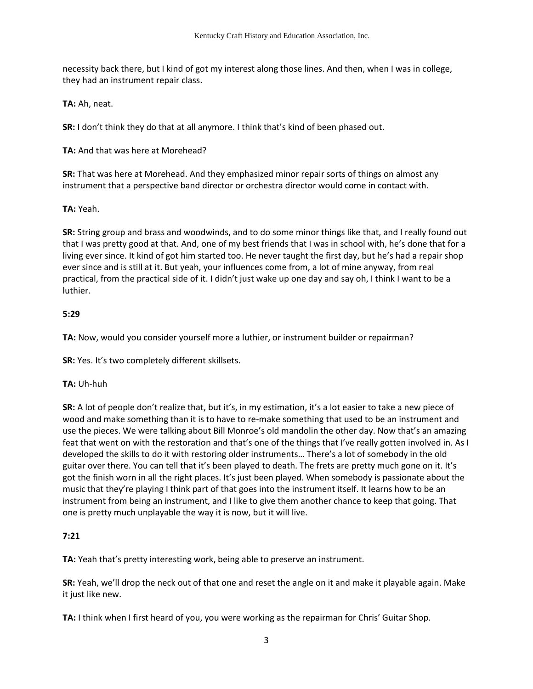necessity back there, but I kind of got my interest along those lines. And then, when I was in college, they had an instrument repair class.

**TA:** Ah, neat.

**SR:** I don't think they do that at all anymore. I think that's kind of been phased out.

**TA:** And that was here at Morehead?

**SR:** That was here at Morehead. And they emphasized minor repair sorts of things on almost any instrument that a perspective band director or orchestra director would come in contact with.

#### **TA:** Yeah.

**SR:** String group and brass and woodwinds, and to do some minor things like that, and I really found out that I was pretty good at that. And, one of my best friends that I was in school with, he's done that for a living ever since. It kind of got him started too. He never taught the first day, but he's had a repair shop ever since and is still at it. But yeah, your influences come from, a lot of mine anyway, from real practical, from the practical side of it. I didn't just wake up one day and say oh, I think I want to be a luthier.

#### **5:29**

**TA:** Now, would you consider yourself more a luthier, or instrument builder or repairman?

**SR:** Yes. It's two completely different skillsets.

### **TA:** Uh-huh

**SR:** A lot of people don't realize that, but it's, in my estimation, it's a lot easier to take a new piece of wood and make something than it is to have to re-make something that used to be an instrument and use the pieces. We were talking about Bill Monroe's old mandolin the other day. Now that's an amazing feat that went on with the restoration and that's one of the things that I've really gotten involved in. As I developed the skills to do it with restoring older instruments… There's a lot of somebody in the old guitar over there. You can tell that it's been played to death. The frets are pretty much gone on it. It's got the finish worn in all the right places. It's just been played. When somebody is passionate about the music that they're playing I think part of that goes into the instrument itself. It learns how to be an instrument from being an instrument, and I like to give them another chance to keep that going. That one is pretty much unplayable the way it is now, but it will live.

## **7:21**

**TA:** Yeah that's pretty interesting work, being able to preserve an instrument.

**SR:** Yeah, we'll drop the neck out of that one and reset the angle on it and make it playable again. Make it just like new.

**TA:** I think when I first heard of you, you were working as the repairman for Chris' Guitar Shop.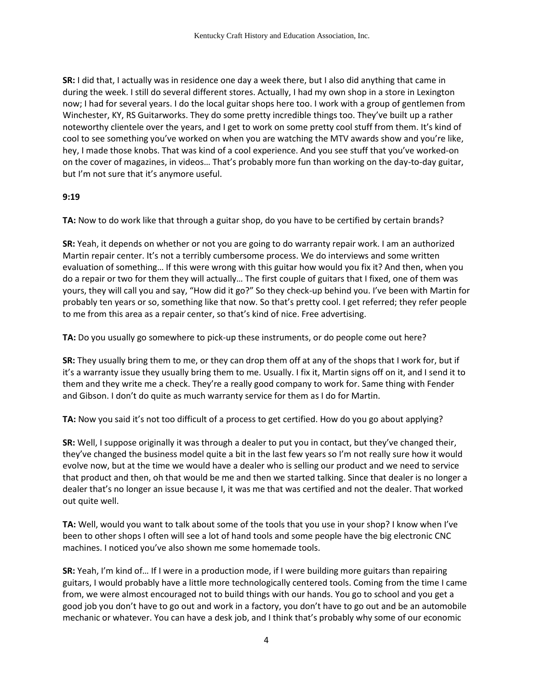**SR:** I did that, I actually was in residence one day a week there, but I also did anything that came in during the week. I still do several different stores. Actually, I had my own shop in a store in Lexington now; I had for several years. I do the local guitar shops here too. I work with a group of gentlemen from Winchester, KY, RS Guitarworks. They do some pretty incredible things too. They've built up a rather noteworthy clientele over the years, and I get to work on some pretty cool stuff from them. It's kind of cool to see something you've worked on when you are watching the MTV awards show and you're like, hey, I made those knobs. That was kind of a cool experience. And you see stuff that you've worked-on on the cover of magazines, in videos… That's probably more fun than working on the day-to-day guitar, but I'm not sure that it's anymore useful.

### **9:19**

**TA:** Now to do work like that through a guitar shop, do you have to be certified by certain brands?

**SR:** Yeah, it depends on whether or not you are going to do warranty repair work. I am an authorized Martin repair center. It's not a terribly cumbersome process. We do interviews and some written evaluation of something… If this were wrong with this guitar how would you fix it? And then, when you do a repair or two for them they will actually… The first couple of guitars that I fixed, one of them was yours, they will call you and say, "How did it go?" So they check-up behind you. I've been with Martin for probably ten years or so, something like that now. So that's pretty cool. I get referred; they refer people to me from this area as a repair center, so that's kind of nice. Free advertising.

**TA:** Do you usually go somewhere to pick-up these instruments, or do people come out here?

**SR:** They usually bring them to me, or they can drop them off at any of the shops that I work for, but if it's a warranty issue they usually bring them to me. Usually. I fix it, Martin signs off on it, and I send it to them and they write me a check. They're a really good company to work for. Same thing with Fender and Gibson. I don't do quite as much warranty service for them as I do for Martin.

**TA:** Now you said it's not too difficult of a process to get certified. How do you go about applying?

**SR:** Well, I suppose originally it was through a dealer to put you in contact, but they've changed their, they've changed the business model quite a bit in the last few years so I'm not really sure how it would evolve now, but at the time we would have a dealer who is selling our product and we need to service that product and then, oh that would be me and then we started talking. Since that dealer is no longer a dealer that's no longer an issue because I, it was me that was certified and not the dealer. That worked out quite well.

**TA:** Well, would you want to talk about some of the tools that you use in your shop? I know when I've been to other shops I often will see a lot of hand tools and some people have the big electronic CNC machines. I noticed you've also shown me some homemade tools.

**SR:** Yeah, I'm kind of… If I were in a production mode, if I were building more guitars than repairing guitars, I would probably have a little more technologically centered tools. Coming from the time I came from, we were almost encouraged not to build things with our hands. You go to school and you get a good job you don't have to go out and work in a factory, you don't have to go out and be an automobile mechanic or whatever. You can have a desk job, and I think that's probably why some of our economic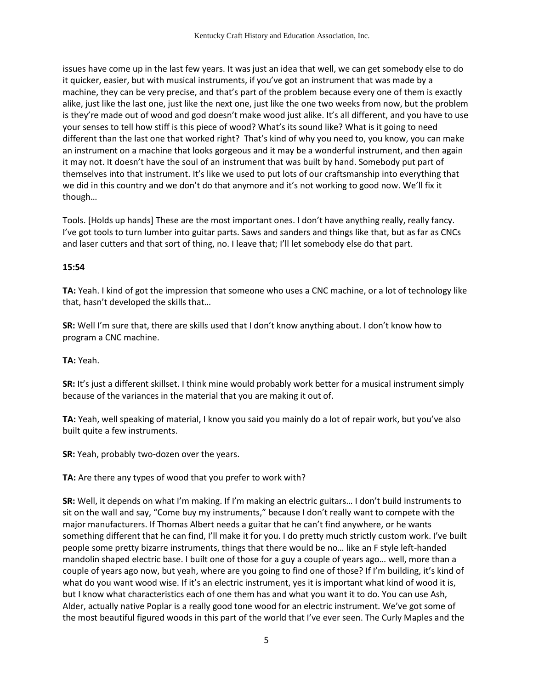issues have come up in the last few years. It was just an idea that well, we can get somebody else to do it quicker, easier, but with musical instruments, if you've got an instrument that was made by a machine, they can be very precise, and that's part of the problem because every one of them is exactly alike, just like the last one, just like the next one, just like the one two weeks from now, but the problem is they're made out of wood and god doesn't make wood just alike. It's all different, and you have to use your senses to tell how stiff is this piece of wood? What's its sound like? What is it going to need different than the last one that worked right? That's kind of why you need to, you know, you can make an instrument on a machine that looks gorgeous and it may be a wonderful instrument, and then again it may not. It doesn't have the soul of an instrument that was built by hand. Somebody put part of themselves into that instrument. It's like we used to put lots of our craftsmanship into everything that we did in this country and we don't do that anymore and it's not working to good now. We'll fix it though…

Tools. [Holds up hands] These are the most important ones. I don't have anything really, really fancy. I've got tools to turn lumber into guitar parts. Saws and sanders and things like that, but as far as CNCs and laser cutters and that sort of thing, no. I leave that; I'll let somebody else do that part.

### **15:54**

**TA:** Yeah. I kind of got the impression that someone who uses a CNC machine, or a lot of technology like that, hasn't developed the skills that…

**SR:** Well I'm sure that, there are skills used that I don't know anything about. I don't know how to program a CNC machine.

**TA:** Yeah.

**SR:** It's just a different skillset. I think mine would probably work better for a musical instrument simply because of the variances in the material that you are making it out of.

**TA:** Yeah, well speaking of material, I know you said you mainly do a lot of repair work, but you've also built quite a few instruments.

**SR:** Yeah, probably two-dozen over the years.

**TA:** Are there any types of wood that you prefer to work with?

**SR:** Well, it depends on what I'm making. If I'm making an electric guitars… I don't build instruments to sit on the wall and say, "Come buy my instruments," because I don't really want to compete with the major manufacturers. If Thomas Albert needs a guitar that he can't find anywhere, or he wants something different that he can find, I'll make it for you. I do pretty much strictly custom work. I've built people some pretty bizarre instruments, things that there would be no… like an F style left-handed mandolin shaped electric base. I built one of those for a guy a couple of years ago… well, more than a couple of years ago now, but yeah, where are you going to find one of those? If I'm building, it's kind of what do you want wood wise. If it's an electric instrument, yes it is important what kind of wood it is, but I know what characteristics each of one them has and what you want it to do. You can use Ash, Alder, actually native Poplar is a really good tone wood for an electric instrument. We've got some of the most beautiful figured woods in this part of the world that I've ever seen. The Curly Maples and the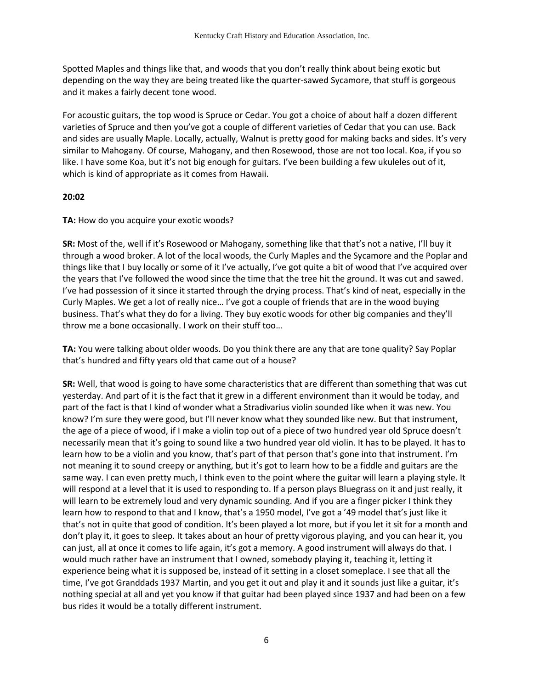Spotted Maples and things like that, and woods that you don't really think about being exotic but depending on the way they are being treated like the quarter-sawed Sycamore, that stuff is gorgeous and it makes a fairly decent tone wood.

For acoustic guitars, the top wood is Spruce or Cedar. You got a choice of about half a dozen different varieties of Spruce and then you've got a couple of different varieties of Cedar that you can use. Back and sides are usually Maple. Locally, actually, Walnut is pretty good for making backs and sides. It's very similar to Mahogany. Of course, Mahogany, and then Rosewood, those are not too local. Koa, if you so like. I have some Koa, but it's not big enough for guitars. I've been building a few ukuleles out of it, which is kind of appropriate as it comes from Hawaii.

#### **20:02**

**TA:** How do you acquire your exotic woods?

**SR:** Most of the, well if it's Rosewood or Mahogany, something like that that's not a native, I'll buy it through a wood broker. A lot of the local woods, the Curly Maples and the Sycamore and the Poplar and things like that I buy locally or some of it I've actually, I've got quite a bit of wood that I've acquired over the years that I've followed the wood since the time that the tree hit the ground. It was cut and sawed. I've had possession of it since it started through the drying process. That's kind of neat, especially in the Curly Maples. We get a lot of really nice… I've got a couple of friends that are in the wood buying business. That's what they do for a living. They buy exotic woods for other big companies and they'll throw me a bone occasionally. I work on their stuff too…

**TA:** You were talking about older woods. Do you think there are any that are tone quality? Say Poplar that's hundred and fifty years old that came out of a house?

**SR:** Well, that wood is going to have some characteristics that are different than something that was cut yesterday. And part of it is the fact that it grew in a different environment than it would be today, and part of the fact is that I kind of wonder what a Stradivarius violin sounded like when it was new. You know? I'm sure they were good, but I'll never know what they sounded like new. But that instrument, the age of a piece of wood, if I make a violin top out of a piece of two hundred year old Spruce doesn't necessarily mean that it's going to sound like a two hundred year old violin. It has to be played. It has to learn how to be a violin and you know, that's part of that person that's gone into that instrument. I'm not meaning it to sound creepy or anything, but it's got to learn how to be a fiddle and guitars are the same way. I can even pretty much, I think even to the point where the guitar will learn a playing style. It will respond at a level that it is used to responding to. If a person plays Bluegrass on it and just really, it will learn to be extremely loud and very dynamic sounding. And if you are a finger picker I think they learn how to respond to that and I know, that's a 1950 model, I've got a '49 model that's just like it that's not in quite that good of condition. It's been played a lot more, but if you let it sit for a month and don't play it, it goes to sleep. It takes about an hour of pretty vigorous playing, and you can hear it, you can just, all at once it comes to life again, it's got a memory. A good instrument will always do that. I would much rather have an instrument that I owned, somebody playing it, teaching it, letting it experience being what it is supposed be, instead of it setting in a closet someplace. I see that all the time, I've got Granddads 1937 Martin, and you get it out and play it and it sounds just like a guitar, it's nothing special at all and yet you know if that guitar had been played since 1937 and had been on a few bus rides it would be a totally different instrument.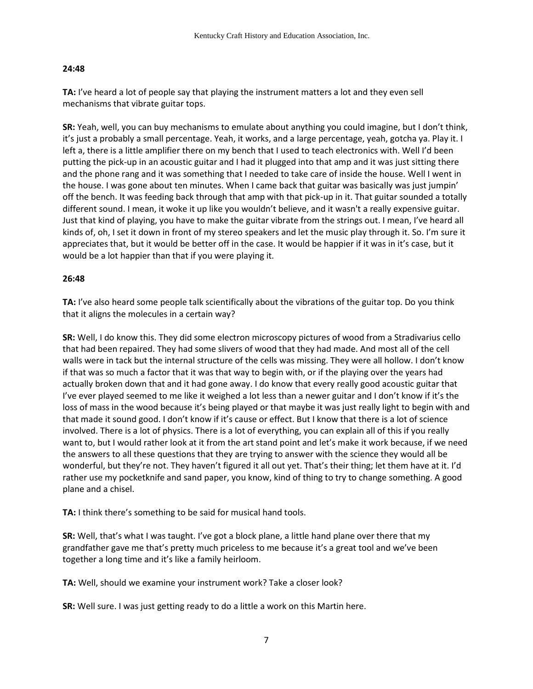### **24:48**

**TA:** I've heard a lot of people say that playing the instrument matters a lot and they even sell mechanisms that vibrate guitar tops.

**SR:** Yeah, well, you can buy mechanisms to emulate about anything you could imagine, but I don't think, it's just a probably a small percentage. Yeah, it works, and a large percentage, yeah, gotcha ya. Play it. I left a, there is a little amplifier there on my bench that I used to teach electronics with. Well I'd been putting the pick-up in an acoustic guitar and I had it plugged into that amp and it was just sitting there and the phone rang and it was something that I needed to take care of inside the house. Well I went in the house. I was gone about ten minutes. When I came back that guitar was basically was just jumpin' off the bench. It was feeding back through that amp with that pick-up in it. That guitar sounded a totally different sound. I mean, it woke it up like you wouldn't believe, and it wasn't a really expensive guitar. Just that kind of playing, you have to make the guitar vibrate from the strings out. I mean, I've heard all kinds of, oh, I set it down in front of my stereo speakers and let the music play through it. So. I'm sure it appreciates that, but it would be better off in the case. It would be happier if it was in it's case, but it would be a lot happier than that if you were playing it.

## **26:48**

**TA:** I've also heard some people talk scientifically about the vibrations of the guitar top. Do you think that it aligns the molecules in a certain way?

**SR:** Well, I do know this. They did some electron microscopy pictures of wood from a Stradivarius cello that had been repaired. They had some slivers of wood that they had made. And most all of the cell walls were in tack but the internal structure of the cells was missing. They were all hollow. I don't know if that was so much a factor that it was that way to begin with, or if the playing over the years had actually broken down that and it had gone away. I do know that every really good acoustic guitar that I've ever played seemed to me like it weighed a lot less than a newer guitar and I don't know if it's the loss of mass in the wood because it's being played or that maybe it was just really light to begin with and that made it sound good. I don't know if it's cause or effect. But I know that there is a lot of science involved. There is a lot of physics. There is a lot of everything, you can explain all of this if you really want to, but I would rather look at it from the art stand point and let's make it work because, if we need the answers to all these questions that they are trying to answer with the science they would all be wonderful, but they're not. They haven't figured it all out yet. That's their thing; let them have at it. I'd rather use my pocketknife and sand paper, you know, kind of thing to try to change something. A good plane and a chisel.

**TA:** I think there's something to be said for musical hand tools.

**SR:** Well, that's what I was taught. I've got a block plane, a little hand plane over there that my grandfather gave me that's pretty much priceless to me because it's a great tool and we've been together a long time and it's like a family heirloom.

**TA:** Well, should we examine your instrument work? Take a closer look?

**SR:** Well sure. I was just getting ready to do a little a work on this Martin here.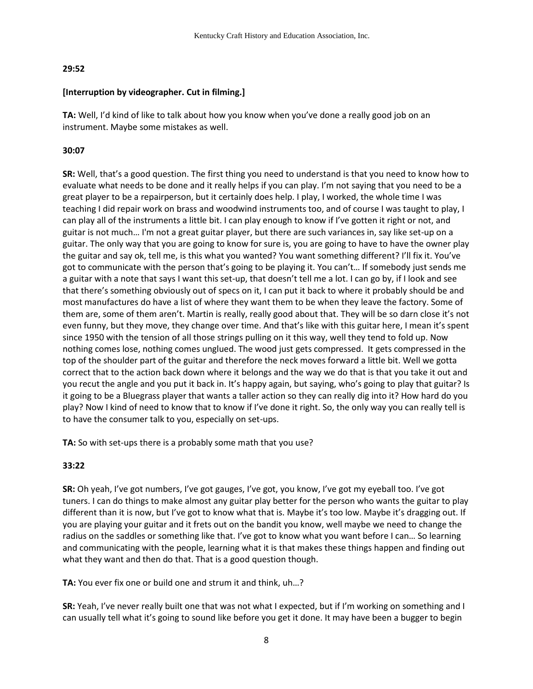## **29:52**

## **[Interruption by videographer. Cut in filming.]**

**TA:** Well, I'd kind of like to talk about how you know when you've done a really good job on an instrument. Maybe some mistakes as well.

# **30:07**

**SR:** Well, that's a good question. The first thing you need to understand is that you need to know how to evaluate what needs to be done and it really helps if you can play. I'm not saying that you need to be a great player to be a repairperson, but it certainly does help. I play, I worked, the whole time I was teaching I did repair work on brass and woodwind instruments too, and of course I was taught to play, I can play all of the instruments a little bit. I can play enough to know if I've gotten it right or not, and guitar is not much… I'm not a great guitar player, but there are such variances in, say like set-up on a guitar. The only way that you are going to know for sure is, you are going to have to have the owner play the guitar and say ok, tell me, is this what you wanted? You want something different? I'll fix it. You've got to communicate with the person that's going to be playing it. You can't… If somebody just sends me a guitar with a note that says I want this set-up, that doesn't tell me a lot. I can go by, if I look and see that there's something obviously out of specs on it, I can put it back to where it probably should be and most manufactures do have a list of where they want them to be when they leave the factory. Some of them are, some of them aren't. Martin is really, really good about that. They will be so darn close it's not even funny, but they move, they change over time. And that's like with this guitar here, I mean it's spent since 1950 with the tension of all those strings pulling on it this way, well they tend to fold up. Now nothing comes lose, nothing comes unglued. The wood just gets compressed. It gets compressed in the top of the shoulder part of the guitar and therefore the neck moves forward a little bit. Well we gotta correct that to the action back down where it belongs and the way we do that is that you take it out and you recut the angle and you put it back in. It's happy again, but saying, who's going to play that guitar? Is it going to be a Bluegrass player that wants a taller action so they can really dig into it? How hard do you play? Now I kind of need to know that to know if I've done it right. So, the only way you can really tell is to have the consumer talk to you, especially on set-ups.

**TA:** So with set-ups there is a probably some math that you use?

# **33:22**

**SR:** Oh yeah, I've got numbers, I've got gauges, I've got, you know, I've got my eyeball too. I've got tuners. I can do things to make almost any guitar play better for the person who wants the guitar to play different than it is now, but I've got to know what that is. Maybe it's too low. Maybe it's dragging out. If you are playing your guitar and it frets out on the bandit you know, well maybe we need to change the radius on the saddles or something like that. I've got to know what you want before I can... So learning and communicating with the people, learning what it is that makes these things happen and finding out what they want and then do that. That is a good question though.

**TA:** You ever fix one or build one and strum it and think, uh…?

**SR:** Yeah, I've never really built one that was not what I expected, but if I'm working on something and I can usually tell what it's going to sound like before you get it done. It may have been a bugger to begin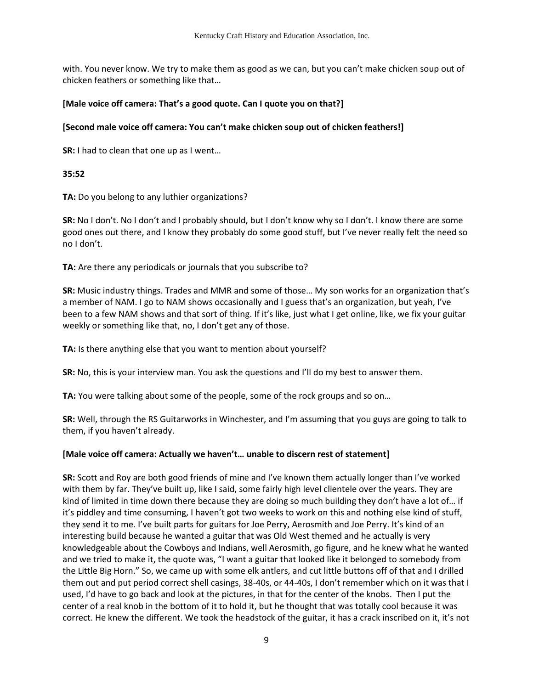with. You never know. We try to make them as good as we can, but you can't make chicken soup out of chicken feathers or something like that…

### **[Male voice off camera: That's a good quote. Can I quote you on that?]**

## **[Second male voice off camera: You can't make chicken soup out of chicken feathers!]**

**SR:** I had to clean that one up as I went…

### **35:52**

**TA:** Do you belong to any luthier organizations?

**SR:** No I don't. No I don't and I probably should, but I don't know why so I don't. I know there are some good ones out there, and I know they probably do some good stuff, but I've never really felt the need so no I don't.

**TA:** Are there any periodicals or journals that you subscribe to?

**SR:** Music industry things. Trades and MMR and some of those… My son works for an organization that's a member of NAM. I go to NAM shows occasionally and I guess that's an organization, but yeah, I've been to a few NAM shows and that sort of thing. If it's like, just what I get online, like, we fix your guitar weekly or something like that, no, I don't get any of those.

**TA:** Is there anything else that you want to mention about yourself?

**SR:** No, this is your interview man. You ask the questions and I'll do my best to answer them.

**TA:** You were talking about some of the people, some of the rock groups and so on…

**SR:** Well, through the RS Guitarworks in Winchester, and I'm assuming that you guys are going to talk to them, if you haven't already.

# **[Male voice off camera: Actually we haven't… unable to discern rest of statement]**

**SR:** Scott and Roy are both good friends of mine and I've known them actually longer than I've worked with them by far. They've built up, like I said, some fairly high level clientele over the years. They are kind of limited in time down there because they are doing so much building they don't have a lot of… if it's piddley and time consuming, I haven't got two weeks to work on this and nothing else kind of stuff, they send it to me. I've built parts for guitars for Joe Perry, Aerosmith and Joe Perry. It's kind of an interesting build because he wanted a guitar that was Old West themed and he actually is very knowledgeable about the Cowboys and Indians, well Aerosmith, go figure, and he knew what he wanted and we tried to make it, the quote was, "I want a guitar that looked like it belonged to somebody from the Little Big Horn." So, we came up with some elk antlers, and cut little buttons off of that and I drilled them out and put period correct shell casings, 38-40s, or 44-40s, I don't remember which on it was that I used, I'd have to go back and look at the pictures, in that for the center of the knobs. Then I put the center of a real knob in the bottom of it to hold it, but he thought that was totally cool because it was correct. He knew the different. We took the headstock of the guitar, it has a crack inscribed on it, it's not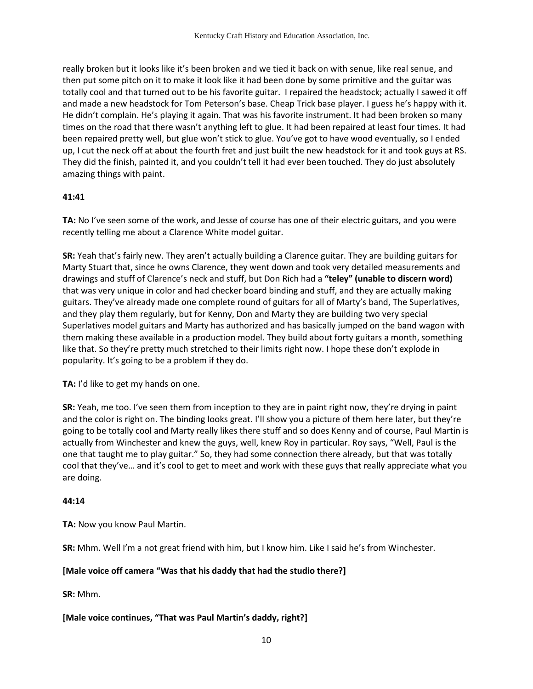really broken but it looks like it's been broken and we tied it back on with senue, like real senue, and then put some pitch on it to make it look like it had been done by some primitive and the guitar was totally cool and that turned out to be his favorite guitar. I repaired the headstock; actually I sawed it off and made a new headstock for Tom Peterson's base. Cheap Trick base player. I guess he's happy with it. He didn't complain. He's playing it again. That was his favorite instrument. It had been broken so many times on the road that there wasn't anything left to glue. It had been repaired at least four times. It had been repaired pretty well, but glue won't stick to glue. You've got to have wood eventually, so I ended up, I cut the neck off at about the fourth fret and just built the new headstock for it and took guys at RS. They did the finish, painted it, and you couldn't tell it had ever been touched. They do just absolutely amazing things with paint.

#### **41:41**

**TA:** No I've seen some of the work, and Jesse of course has one of their electric guitars, and you were recently telling me about a Clarence White model guitar.

**SR:** Yeah that's fairly new. They aren't actually building a Clarence guitar. They are building guitars for Marty Stuart that, since he owns Clarence, they went down and took very detailed measurements and drawings and stuff of Clarence's neck and stuff, but Don Rich had a **"teley" (unable to discern word)** that was very unique in color and had checker board binding and stuff, and they are actually making guitars. They've already made one complete round of guitars for all of Marty's band, The Superlatives, and they play them regularly, but for Kenny, Don and Marty they are building two very special Superlatives model guitars and Marty has authorized and has basically jumped on the band wagon with them making these available in a production model. They build about forty guitars a month, something like that. So they're pretty much stretched to their limits right now. I hope these don't explode in popularity. It's going to be a problem if they do.

**TA:** I'd like to get my hands on one.

**SR:** Yeah, me too. I've seen them from inception to they are in paint right now, they're drying in paint and the color is right on. The binding looks great. I'll show you a picture of them here later, but they're going to be totally cool and Marty really likes there stuff and so does Kenny and of course, Paul Martin is actually from Winchester and knew the guys, well, knew Roy in particular. Roy says, "Well, Paul is the one that taught me to play guitar." So, they had some connection there already, but that was totally cool that they've… and it's cool to get to meet and work with these guys that really appreciate what you are doing.

#### **44:14**

**TA:** Now you know Paul Martin.

**SR:** Mhm. Well I'm a not great friend with him, but I know him. Like I said he's from Winchester.

### **[Male voice off camera "Was that his daddy that had the studio there?]**

**SR:** Mhm.

### **[Male voice continues, "That was Paul Martin's daddy, right?]**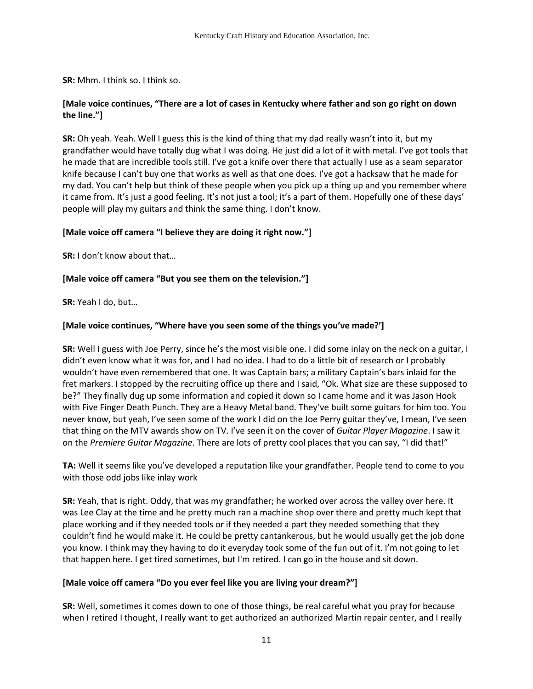**SR:** Mhm. I think so. I think so.

## **[Male voice continues, "There are a lot of cases in Kentucky where father and son go right on down the line."]**

**SR:** Oh yeah. Yeah. Well I guess this is the kind of thing that my dad really wasn't into it, but my grandfather would have totally dug what I was doing. He just did a lot of it with metal. I've got tools that he made that are incredible tools still. I've got a knife over there that actually I use as a seam separator knife because I can't buy one that works as well as that one does. I've got a hacksaw that he made for my dad. You can't help but think of these people when you pick up a thing up and you remember where it came from. It's just a good feeling. It's not just a tool; it's a part of them. Hopefully one of these days' people will play my guitars and think the same thing. I don't know.

### **[Male voice off camera "I believe they are doing it right now."]**

**SR:** I don't know about that…

## **[Male voice off camera "But you see them on the television."]**

**SR:** Yeah I do, but…

## **[Male voice continues, "Where have you seen some of the things you've made?']**

**SR:** Well I guess with Joe Perry, since he's the most visible one. I did some inlay on the neck on a guitar, I didn't even know what it was for, and I had no idea. I had to do a little bit of research or I probably wouldn't have even remembered that one. It was Captain bars; a military Captain's bars inlaid for the fret markers. I stopped by the recruiting office up there and I said, "Ok. What size are these supposed to be?" They finally dug up some information and copied it down so I came home and it was Jason Hook with Five Finger Death Punch. They are a Heavy Metal band. They've built some guitars for him too. You never know, but yeah, I've seen some of the work I did on the Joe Perry guitar they've, I mean, I've seen that thing on the MTV awards show on TV. I've seen it on the cover of *Guitar Player Magazine*. I saw it on the *Premiere Guitar Magazine*. There are lots of pretty cool places that you can say, "I did that!"

**TA:** Well it seems like you've developed a reputation like your grandfather. People tend to come to you with those odd jobs like inlay work

**SR:** Yeah, that is right. Oddy, that was my grandfather; he worked over across the valley over here. It was Lee Clay at the time and he pretty much ran a machine shop over there and pretty much kept that place working and if they needed tools or if they needed a part they needed something that they couldn't find he would make it. He could be pretty cantankerous, but he would usually get the job done you know. I think may they having to do it everyday took some of the fun out of it. I'm not going to let that happen here. I get tired sometimes, but I'm retired. I can go in the house and sit down.

### **[Male voice off camera "Do you ever feel like you are living your dream?"]**

**SR:** Well, sometimes it comes down to one of those things, be real careful what you pray for because when I retired I thought, I really want to get authorized an authorized Martin repair center, and I really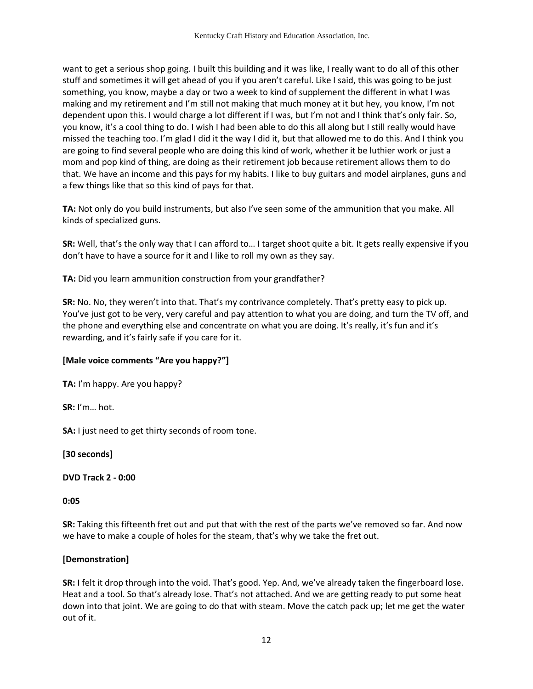want to get a serious shop going. I built this building and it was like, I really want to do all of this other stuff and sometimes it will get ahead of you if you aren't careful. Like I said, this was going to be just something, you know, maybe a day or two a week to kind of supplement the different in what I was making and my retirement and I'm still not making that much money at it but hey, you know, I'm not dependent upon this. I would charge a lot different if I was, but I'm not and I think that's only fair. So, you know, it's a cool thing to do. I wish I had been able to do this all along but I still really would have missed the teaching too. I'm glad I did it the way I did it, but that allowed me to do this. And I think you are going to find several people who are doing this kind of work, whether it be luthier work or just a mom and pop kind of thing, are doing as their retirement job because retirement allows them to do that. We have an income and this pays for my habits. I like to buy guitars and model airplanes, guns and a few things like that so this kind of pays for that.

**TA:** Not only do you build instruments, but also I've seen some of the ammunition that you make. All kinds of specialized guns.

**SR:** Well, that's the only way that I can afford to… I target shoot quite a bit. It gets really expensive if you don't have to have a source for it and I like to roll my own as they say.

**TA:** Did you learn ammunition construction from your grandfather?

**SR:** No. No, they weren't into that. That's my contrivance completely. That's pretty easy to pick up. You've just got to be very, very careful and pay attention to what you are doing, and turn the TV off, and the phone and everything else and concentrate on what you are doing. It's really, it's fun and it's rewarding, and it's fairly safe if you care for it.

# **[Male voice comments "Are you happy?"]**

**TA:** I'm happy. Are you happy?

**SR:** I'm… hot.

**SA:** I just need to get thirty seconds of room tone.

**[30 seconds]** 

**DVD Track 2 - 0:00**

**0:05** 

**SR:** Taking this fifteenth fret out and put that with the rest of the parts we've removed so far. And now we have to make a couple of holes for the steam, that's why we take the fret out.

# **[Demonstration]**

**SR:** I felt it drop through into the void. That's good. Yep. And, we've already taken the fingerboard lose. Heat and a tool. So that's already lose. That's not attached. And we are getting ready to put some heat down into that joint. We are going to do that with steam. Move the catch pack up; let me get the water out of it.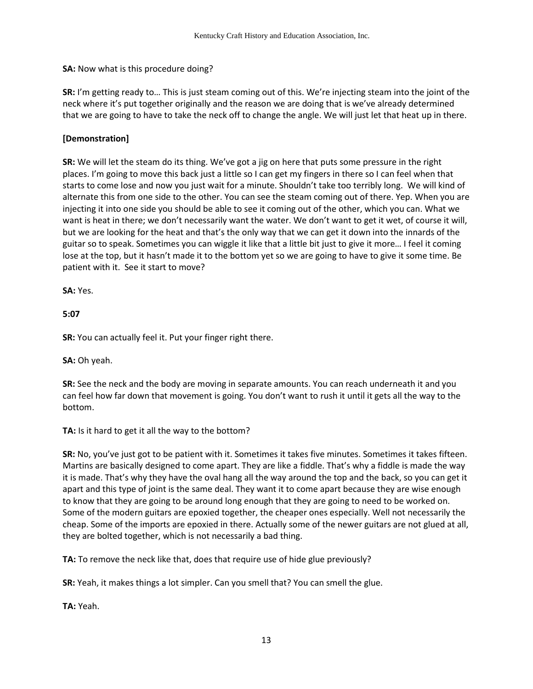**SA:** Now what is this procedure doing?

**SR:** I'm getting ready to… This is just steam coming out of this. We're injecting steam into the joint of the neck where it's put together originally and the reason we are doing that is we've already determined that we are going to have to take the neck off to change the angle. We will just let that heat up in there.

# **[Demonstration]**

**SR:** We will let the steam do its thing. We've got a jig on here that puts some pressure in the right places. I'm going to move this back just a little so I can get my fingers in there so I can feel when that starts to come lose and now you just wait for a minute. Shouldn't take too terribly long. We will kind of alternate this from one side to the other. You can see the steam coming out of there. Yep. When you are injecting it into one side you should be able to see it coming out of the other, which you can. What we want is heat in there; we don't necessarily want the water. We don't want to get it wet, of course it will, but we are looking for the heat and that's the only way that we can get it down into the innards of the guitar so to speak. Sometimes you can wiggle it like that a little bit just to give it more… I feel it coming lose at the top, but it hasn't made it to the bottom yet so we are going to have to give it some time. Be patient with it. See it start to move?

**SA:** Yes.

**5:07** 

**SR:** You can actually feel it. Put your finger right there.

**SA:** Oh yeah.

**SR:** See the neck and the body are moving in separate amounts. You can reach underneath it and you can feel how far down that movement is going. You don't want to rush it until it gets all the way to the bottom.

**TA:** Is it hard to get it all the way to the bottom?

**SR:** No, you've just got to be patient with it. Sometimes it takes five minutes. Sometimes it takes fifteen. Martins are basically designed to come apart. They are like a fiddle. That's why a fiddle is made the way it is made. That's why they have the oval hang all the way around the top and the back, so you can get it apart and this type of joint is the same deal. They want it to come apart because they are wise enough to know that they are going to be around long enough that they are going to need to be worked on. Some of the modern guitars are epoxied together, the cheaper ones especially. Well not necessarily the cheap. Some of the imports are epoxied in there. Actually some of the newer guitars are not glued at all, they are bolted together, which is not necessarily a bad thing.

**TA:** To remove the neck like that, does that require use of hide glue previously?

**SR:** Yeah, it makes things a lot simpler. Can you smell that? You can smell the glue.

**TA:** Yeah.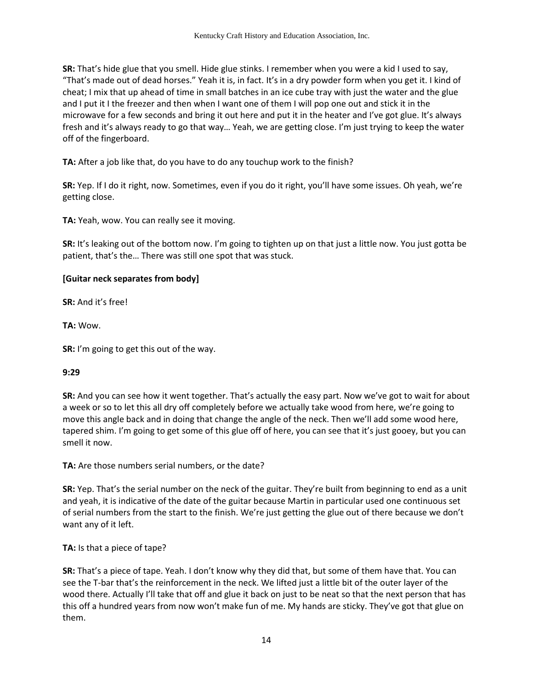**SR:** That's hide glue that you smell. Hide glue stinks. I remember when you were a kid I used to say, "That's made out of dead horses." Yeah it is, in fact. It's in a dry powder form when you get it. I kind of cheat; I mix that up ahead of time in small batches in an ice cube tray with just the water and the glue and I put it I the freezer and then when I want one of them I will pop one out and stick it in the microwave for a few seconds and bring it out here and put it in the heater and I've got glue. It's always fresh and it's always ready to go that way… Yeah, we are getting close. I'm just trying to keep the water off of the fingerboard.

**TA:** After a job like that, do you have to do any touchup work to the finish?

**SR:** Yep. If I do it right, now. Sometimes, even if you do it right, you'll have some issues. Oh yeah, we're getting close.

**TA:** Yeah, wow. You can really see it moving.

**SR:** It's leaking out of the bottom now. I'm going to tighten up on that just a little now. You just gotta be patient, that's the… There was still one spot that was stuck.

### **[Guitar neck separates from body]**

**SR:** And it's free!

**TA:** Wow.

**SR:** I'm going to get this out of the way.

### **9:29**

**SR:** And you can see how it went together. That's actually the easy part. Now we've got to wait for about a week or so to let this all dry off completely before we actually take wood from here, we're going to move this angle back and in doing that change the angle of the neck. Then we'll add some wood here, tapered shim. I'm going to get some of this glue off of here, you can see that it's just gooey, but you can smell it now.

**TA:** Are those numbers serial numbers, or the date?

**SR:** Yep. That's the serial number on the neck of the guitar. They're built from beginning to end as a unit and yeah, it is indicative of the date of the guitar because Martin in particular used one continuous set of serial numbers from the start to the finish. We're just getting the glue out of there because we don't want any of it left.

**TA:** Is that a piece of tape?

**SR:** That's a piece of tape. Yeah. I don't know why they did that, but some of them have that. You can see the T-bar that's the reinforcement in the neck. We lifted just a little bit of the outer layer of the wood there. Actually I'll take that off and glue it back on just to be neat so that the next person that has this off a hundred years from now won't make fun of me. My hands are sticky. They've got that glue on them.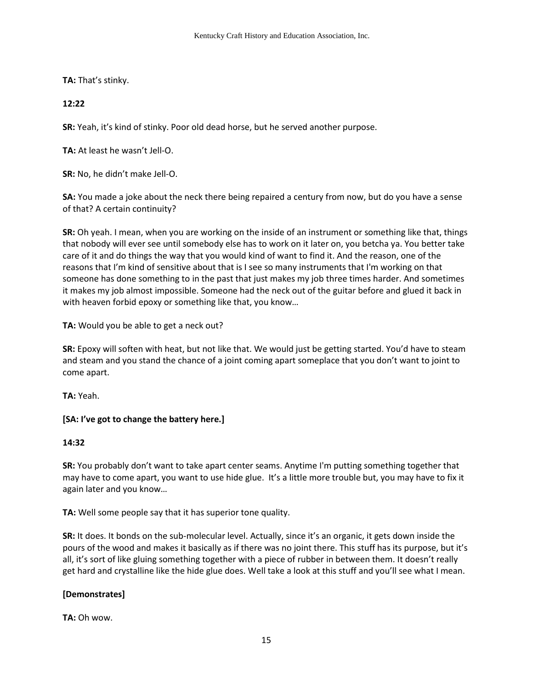**TA:** That's stinky.

# **12:22**

**SR:** Yeah, it's kind of stinky. Poor old dead horse, but he served another purpose.

**TA:** At least he wasn't Jell-O.

**SR:** No, he didn't make Jell-O.

**SA:** You made a joke about the neck there being repaired a century from now, but do you have a sense of that? A certain continuity?

**SR:** Oh yeah. I mean, when you are working on the inside of an instrument or something like that, things that nobody will ever see until somebody else has to work on it later on, you betcha ya. You better take care of it and do things the way that you would kind of want to find it. And the reason, one of the reasons that I'm kind of sensitive about that is I see so many instruments that I'm working on that someone has done something to in the past that just makes my job three times harder. And sometimes it makes my job almost impossible. Someone had the neck out of the guitar before and glued it back in with heaven forbid epoxy or something like that, you know…

**TA:** Would you be able to get a neck out?

**SR:** Epoxy will soften with heat, but not like that. We would just be getting started. You'd have to steam and steam and you stand the chance of a joint coming apart someplace that you don't want to joint to come apart.

**TA:** Yeah.

# **[SA: I've got to change the battery here.]**

# **14:32**

**SR:** You probably don't want to take apart center seams. Anytime I'm putting something together that may have to come apart, you want to use hide glue. It's a little more trouble but, you may have to fix it again later and you know…

**TA:** Well some people say that it has superior tone quality.

**SR:** It does. It bonds on the sub-molecular level. Actually, since it's an organic, it gets down inside the pours of the wood and makes it basically as if there was no joint there. This stuff has its purpose, but it's all, it's sort of like gluing something together with a piece of rubber in between them. It doesn't really get hard and crystalline like the hide glue does. Well take a look at this stuff and you'll see what I mean.

# **[Demonstrates]**

**TA:** Oh wow.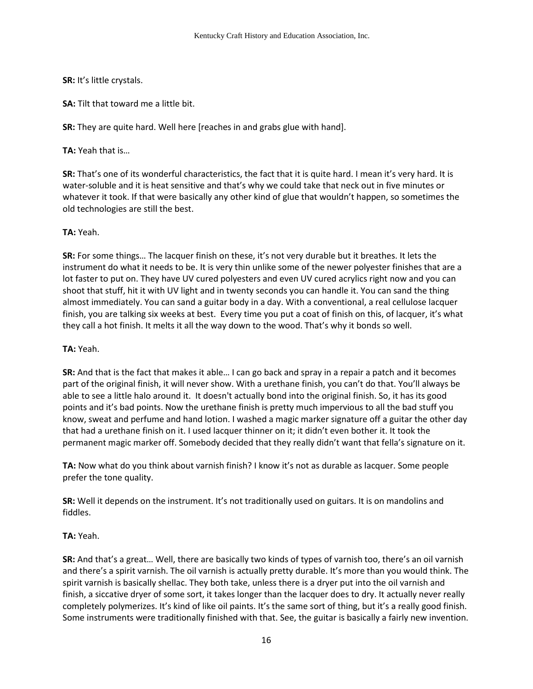**SR:** It's little crystals.

**SA:** Tilt that toward me a little bit.

**SR:** They are quite hard. Well here [reaches in and grabs glue with hand].

**TA:** Yeah that is…

**SR:** That's one of its wonderful characteristics, the fact that it is quite hard. I mean it's very hard. It is water-soluble and it is heat sensitive and that's why we could take that neck out in five minutes or whatever it took. If that were basically any other kind of glue that wouldn't happen, so sometimes the old technologies are still the best.

## **TA:** Yeah.

**SR:** For some things… The lacquer finish on these, it's not very durable but it breathes. It lets the instrument do what it needs to be. It is very thin unlike some of the newer polyester finishes that are a lot faster to put on. They have UV cured polyesters and even UV cured acrylics right now and you can shoot that stuff, hit it with UV light and in twenty seconds you can handle it. You can sand the thing almost immediately. You can sand a guitar body in a day. With a conventional, a real cellulose lacquer finish, you are talking six weeks at best. Every time you put a coat of finish on this, of lacquer, it's what they call a hot finish. It melts it all the way down to the wood. That's why it bonds so well.

### **TA:** Yeah.

**SR:** And that is the fact that makes it able… I can go back and spray in a repair a patch and it becomes part of the original finish, it will never show. With a urethane finish, you can't do that. You'll always be able to see a little halo around it. It doesn't actually bond into the original finish. So, it has its good points and it's bad points. Now the urethane finish is pretty much impervious to all the bad stuff you know, sweat and perfume and hand lotion. I washed a magic marker signature off a guitar the other day that had a urethane finish on it. I used lacquer thinner on it; it didn't even bother it. It took the permanent magic marker off. Somebody decided that they really didn't want that fella's signature on it.

**TA:** Now what do you think about varnish finish? I know it's not as durable as lacquer. Some people prefer the tone quality.

**SR:** Well it depends on the instrument. It's not traditionally used on guitars. It is on mandolins and fiddles.

# **TA:** Yeah.

**SR:** And that's a great… Well, there are basically two kinds of types of varnish too, there's an oil varnish and there's a spirit varnish. The oil varnish is actually pretty durable. It's more than you would think. The spirit varnish is basically shellac. They both take, unless there is a dryer put into the oil varnish and finish, a siccative dryer of some sort, it takes longer than the lacquer does to dry. It actually never really completely polymerizes. It's kind of like oil paints. It's the same sort of thing, but it's a really good finish. Some instruments were traditionally finished with that. See, the guitar is basically a fairly new invention.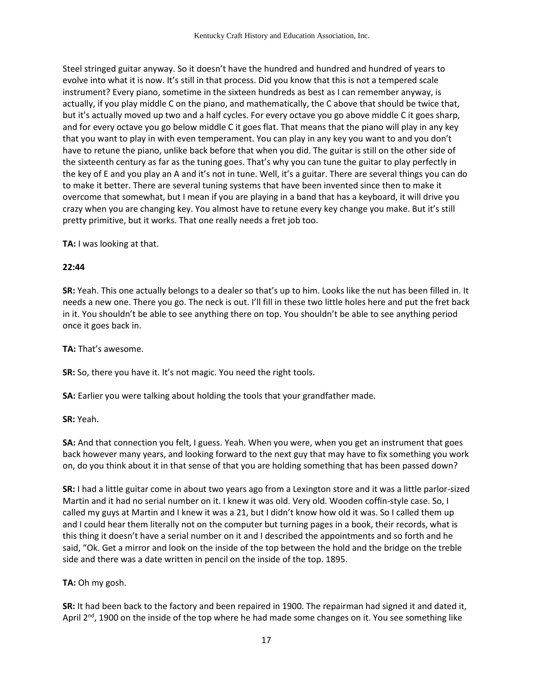Steel stringed guitar anyway. So it doesn't have the hundred and hundred and hundred of years to evolve into what it is now. It's still in that process. Did you know that this is not a tempered scale instrument? Every piano, sometime in the sixteen hundreds as best as I can remember anyway, is actually, if you play middle C on the piano, and mathematically, the C above that should be twice that, but it's actually moved up two and a half cycles. For every octave you go above middle C it goes sharp, and for every octave you go below middle C it goes flat. That means that the piano will play in any key that you want to play in with even temperament. You can play in any key you want to and you don't have to retune the piano, unlike back before that when you did. The guitar is still on the other side of the sixteenth century as far as the tuning goes. That's why you can tune the guitar to play perfectly in the key of E and you play an A and it's not in tune. Well, it's a guitar. There are several things you can do to make it better. There are several tuning systems that have been invented since then to make it overcome that somewhat, but I mean if you are playing in a band that has a keyboard, it will drive you crazy when you are changing key. You almost have to retune every key change you make. But it's still pretty primitive, but it works. That one really needs a fret job too.

**TA:** I was looking at that.

#### **22:44**

**SR:** Yeah. This one actually belongs to a dealer so that's up to him. Looks like the nut has been filled in. It needs a new one. There you go. The neck is out. I'll fill in these two little holes here and put the fret back in it. You shouldn't be able to see anything there on top. You shouldn't be able to see anything period once it goes back in.

**TA:** That's awesome.

**SR:** So, there you have it. It's not magic. You need the right tools.

**SA:** Earlier you were talking about holding the tools that your grandfather made.

**SR:** Yeah.

**SA:** And that connection you felt, I guess. Yeah. When you were, when you get an instrument that goes back however many years, and looking forward to the next guy that may have to fix something you work on, do you think about it in that sense of that you are holding something that has been passed down?

**SR:** I had a little guitar come in about two years ago from a Lexington store and it was a little parlor-sized Martin and it had no serial number on it. I knew it was old. Very old. Wooden coffin-style case. So, I called my guys at Martin and I knew it was a 21, but I didn't know how old it was. So I called them up and I could hear them literally not on the computer but turning pages in a book, their records, what is this thing it doesn't have a serial number on it and I described the appointments and so forth and he said, "Ok. Get a mirror and look on the inside of the top between the hold and the bridge on the treble side and there was a date written in pencil on the inside of the top. 1895.

**TA:** Oh my gosh.

**SR:** It had been back to the factory and been repaired in 1900. The repairman had signed it and dated it, April  $2<sup>nd</sup>$ , 1900 on the inside of the top where he had made some changes on it. You see something like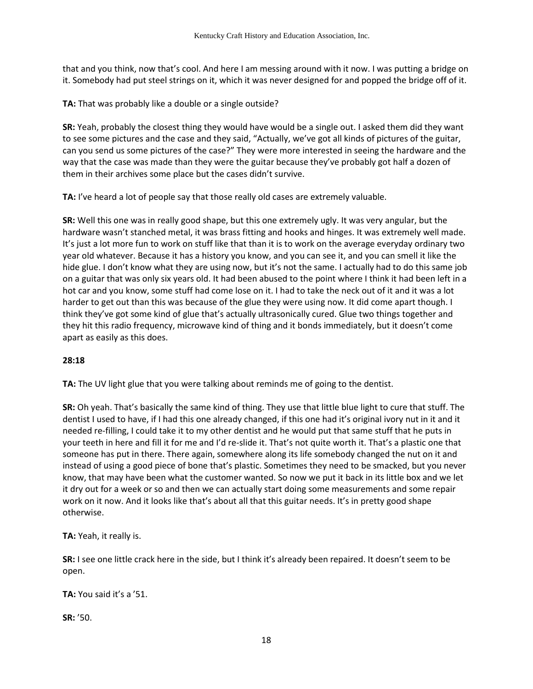that and you think, now that's cool. And here I am messing around with it now. I was putting a bridge on it. Somebody had put steel strings on it, which it was never designed for and popped the bridge off of it.

**TA:** That was probably like a double or a single outside?

**SR:** Yeah, probably the closest thing they would have would be a single out. I asked them did they want to see some pictures and the case and they said, "Actually, we've got all kinds of pictures of the guitar, can you send us some pictures of the case?" They were more interested in seeing the hardware and the way that the case was made than they were the guitar because they've probably got half a dozen of them in their archives some place but the cases didn't survive.

**TA:** I've heard a lot of people say that those really old cases are extremely valuable.

**SR:** Well this one was in really good shape, but this one extremely ugly. It was very angular, but the hardware wasn't stanched metal, it was brass fitting and hooks and hinges. It was extremely well made. It's just a lot more fun to work on stuff like that than it is to work on the average everyday ordinary two year old whatever. Because it has a history you know, and you can see it, and you can smell it like the hide glue. I don't know what they are using now, but it's not the same. I actually had to do this same job on a guitar that was only six years old. It had been abused to the point where I think it had been left in a hot car and you know, some stuff had come lose on it. I had to take the neck out of it and it was a lot harder to get out than this was because of the glue they were using now. It did come apart though. I think they've got some kind of glue that's actually ultrasonically cured. Glue two things together and they hit this radio frequency, microwave kind of thing and it bonds immediately, but it doesn't come apart as easily as this does.

### **28:18**

**TA:** The UV light glue that you were talking about reminds me of going to the dentist.

**SR:** Oh yeah. That's basically the same kind of thing. They use that little blue light to cure that stuff. The dentist I used to have, if I had this one already changed, if this one had it's original ivory nut in it and it needed re-filling, I could take it to my other dentist and he would put that same stuff that he puts in your teeth in here and fill it for me and I'd re-slide it. That's not quite worth it. That's a plastic one that someone has put in there. There again, somewhere along its life somebody changed the nut on it and instead of using a good piece of bone that's plastic. Sometimes they need to be smacked, but you never know, that may have been what the customer wanted. So now we put it back in its little box and we let it dry out for a week or so and then we can actually start doing some measurements and some repair work on it now. And it looks like that's about all that this guitar needs. It's in pretty good shape otherwise.

**TA:** Yeah, it really is.

**SR:** I see one little crack here in the side, but I think it's already been repaired. It doesn't seem to be open.

**TA:** You said it's a '51.

**SR:** '50.